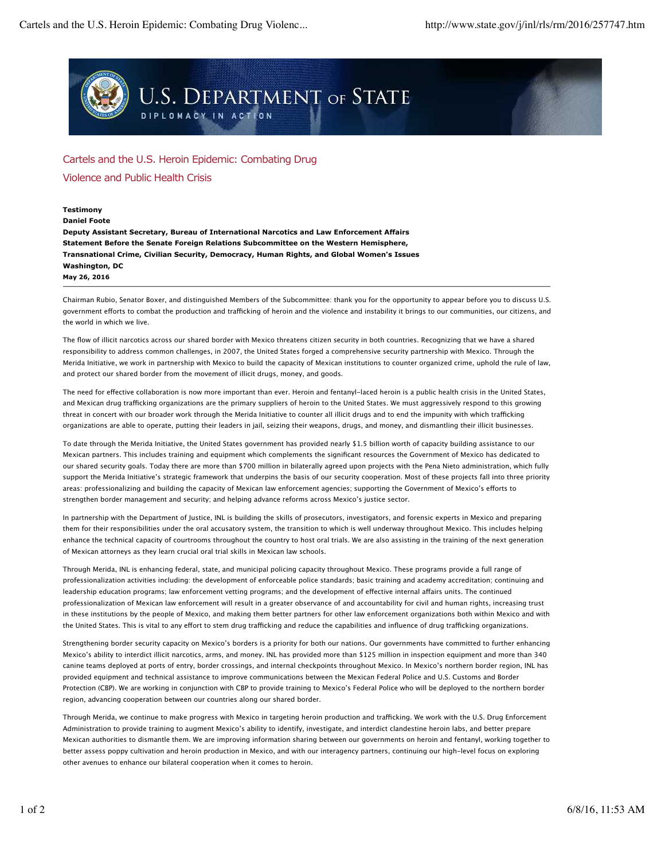

## Cartels and the U.S. Heroin Epidemic: Combating Drug

Violence and Public Health Crisis

## **Testimony**

**May 26, 2016 Daniel Foote Deputy Assistant Secretary, Bureau of International Narcotics and Law Enforcement Affairs Statement Before the Senate Foreign Relations Subcommittee on the Western Hemisphere, Transnational Crime, Civilian Security, Democracy, Human Rights, and Global Women's Issues Washington, DC**

Chairman Rubio, Senator Boxer, and distinguished Members of the Subcommittee: thank you for the opportunity to appear before you to discuss U.S. government efforts to combat the production and trafficking of heroin and the violence and instability it brings to our communities, our citizens, and the world in which we live.

The flow of illicit narcotics across our shared border with Mexico threatens citizen security in both countries. Recognizing that we have a shared responsibility to address common challenges, in 2007, the United States forged a comprehensive security partnership with Mexico. Through the Merida Initiative, we work in partnership with Mexico to build the capacity of Mexican institutions to counter organized crime, uphold the rule of law, and protect our shared border from the movement of illicit drugs, money, and goods.

The need for efective collaboration is now more important than ever. Heroin and fentanyl-laced heroin is a public health crisis in the United States, and Mexican drug trafficking organizations are the primary suppliers of heroin to the United States. We must aggressively respond to this growing threat in concert with our broader work through the Merida Initiative to counter all illicit drugs and to end the impunity with which trafficking organizations are able to operate, putting their leaders in jail, seizing their weapons, drugs, and money, and dismantling their illicit businesses.

To date through the Merida Initiative, the United States government has provided nearly \$1.5 billion worth of capacity building assistance to our Mexican partners. This includes training and equipment which complements the significant resources the Government of Mexico has dedicated to our shared security goals. Today there are more than \$700 million in bilaterally agreed upon projects with the Pena Nieto administration, which fully support the Merida Initiative's strategic framework that underpins the basis of our security cooperation. Most of these projects fall into three priority areas: professionalizing and building the capacity of Mexican law enforcement agencies; supporting the Government of Mexico's eforts to strengthen border management and security; and helping advance reforms across Mexico's justice sector.

In partnership with the Department of Justice, INL is building the skills of prosecutors, investigators, and forensic experts in Mexico and preparing them for their responsibilities under the oral accusatory system, the transition to which is well underway throughout Mexico. This includes helping enhance the technical capacity of courtrooms throughout the country to host oral trials. We are also assisting in the training of the next generation of Mexican attorneys as they learn crucial oral trial skills in Mexican law schools.

Through Merida, INL is enhancing federal, state, and municipal policing capacity throughout Mexico. These programs provide a full range of professionalization activities including: the development of enforceable police standards; basic training and academy accreditation; continuing and leadership education programs; law enforcement vetting programs; and the development of effective internal affairs units. The continued professionalization of Mexican law enforcement will result in a greater observance of and accountability for civil and human rights, increasing trust in these institutions by the people of Mexico, and making them better partners for other law enforcement organizations both within Mexico and with the United States. This is vital to any effort to stem drug trafficking and reduce the capabilities and influence of drug trafficking organizations.

Strengthening border security capacity on Mexico's borders is a priority for both our nations. Our governments have committed to further enhancing Mexico's ability to interdict illicit narcotics, arms, and money. INL has provided more than \$125 million in inspection equipment and more than 340 canine teams deployed at ports of entry, border crossings, and internal checkpoints throughout Mexico. In Mexico's northern border region, INL has provided equipment and technical assistance to improve communications between the Mexican Federal Police and U.S. Customs and Border Protection (CBP). We are working in conjunction with CBP to provide training to Mexico's Federal Police who will be deployed to the northern border region, advancing cooperation between our countries along our shared border.

Through Merida, we continue to make progress with Mexico in targeting heroin production and trafficking. We work with the U.S. Drug Enforcement Administration to provide training to augment Mexico's ability to identify, investigate, and interdict clandestine heroin labs, and better prepare Mexican authorities to dismantle them. We are improving information sharing between our governments on heroin and fentanyl, working together to better assess poppy cultivation and heroin production in Mexico, and with our interagency partners, continuing our high-level focus on exploring other avenues to enhance our bilateral cooperation when it comes to heroin.